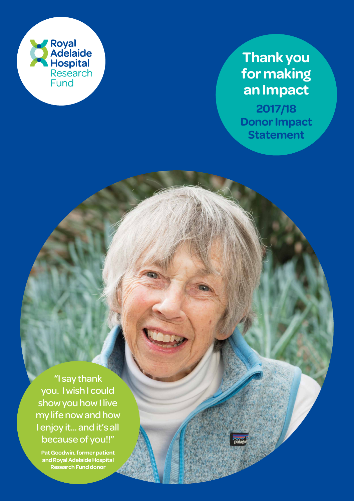

# **Thank you for making an Impact**

**2017/18 Donor Impact Statement** 

"I say thank you. I wish I could show you how I live my life now and how I enjoy it... and it's all because of you!!"

**Pat Goodwin, former patient and Royal Adelaide Hospital Research Fund donor**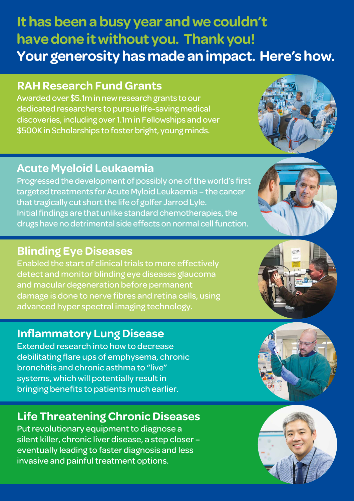# **It has been a busy year and we couldn't have done it without you. Thank you! Your generosity has made an impact. Here's how.**

#### **RAH Research Fund Grants**

Awarded over \$5.1m in new research grants to our dedicated researchers to pursue life-saving medical discoveries, including over 1.1m in Fellowships and over \$500K in Scholarships to foster bright, young minds.

#### **Acute Myeloid Leukaemia**

Progressed the development of possibly one of the world's first targeted treatments for Acute Myloid Leukaemia – the cancer that tragically cut short the life of golfer Jarrod Lyle. Initial findings are that unlike standard chemotherapies, the drugs have no detrimental side effects on normal cell function.

#### **Blinding Eye Diseases**

Enabled the start of clinical trials to more effectively detect and monitor blinding eye diseases glaucoma and macular degeneration before permanent damage is done to nerve fibres and retina cells, using advanced hyper spectral imaging technology.

### **Inflammatory Lung Disease**

Extended research into how to decrease debilitating flare ups of emphysema, chronic bronchitis and chronic asthma to "live" systems, which will potentially result in bringing benefits to patients much earlier.

## **Life Threatening Chronic Diseases**

Put revolutionary equipment to diagnose a silent killer, chronic liver disease, a step closer – eventually leading to faster diagnosis and less invasive and painful treatment options.







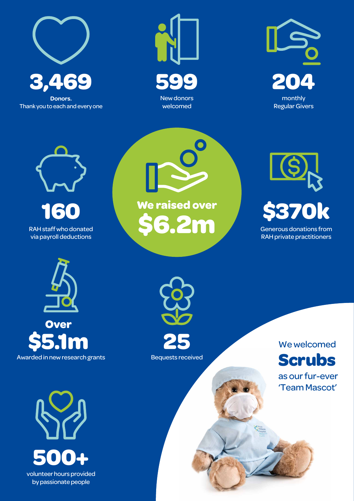

Thank you to each and every one





RAH staff who donated via payroll deductions **160**

**We raised over \$6.2m** 





Awarded in new research grants **\$5.1m Over**

> **500+** volunteer hours provided by passionate people



Bequests received

We welcomed **Scrubs** 

as our fur-ever 'Team Mascot'